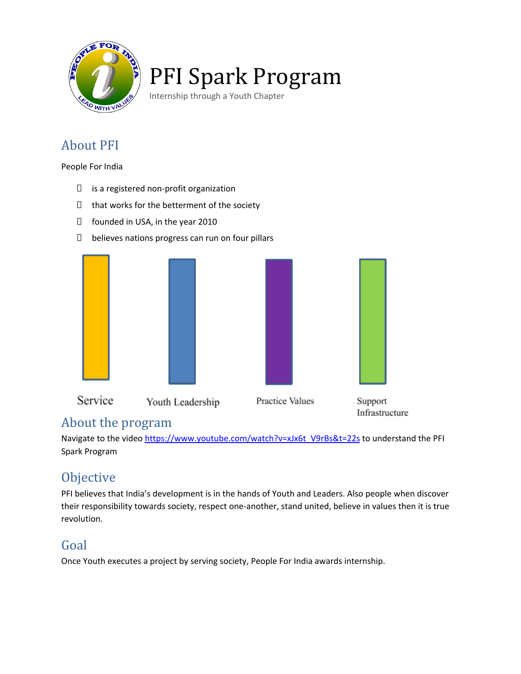

# PFI Spark Program

Internship through a Youth Chapter

#### About PFI

People For India

- $\Box$  is a registered non-profit organization
- $\Box$  that works for the betterment of the society
- □ founded in USA, in the year 2010
- $\Box$  believes nations progress can run on four pillars



#### About the program

Navigate to the video [https://www.youtube.com/watch?v=xJx6t\\_V9rBs&t=22s](https://www.youtube.com/watch?v=xJx6t_V9rBs&t=22s) to understand the PFI Spark Program

#### **Objective**

PFI believes that India's development is in the hands of Youth and Leaders. Also people when discover their responsibility towards society, respect one-another, stand united, believe in values then it is true revolution.

#### Goal

Once Youth executes a project by serving society, People For India awards internship.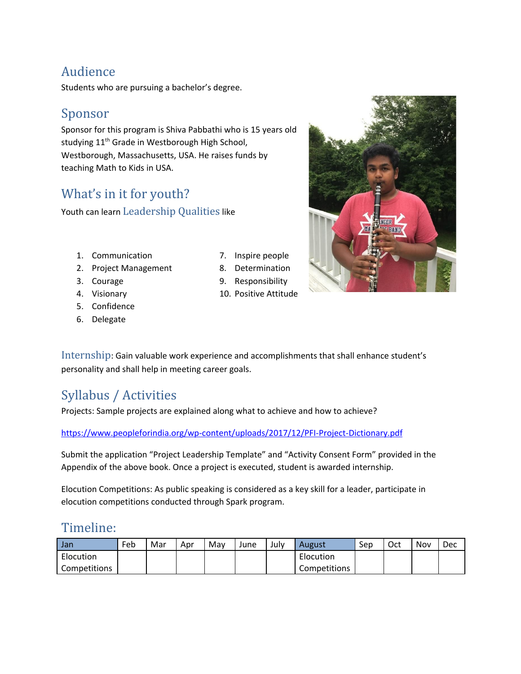#### Audience

Students who are pursuing a bachelor's degree.

#### Sponsor

Sponsor for this program is Shiva Pabbathi who is 15 years old studying 11<sup>th</sup> Grade in Westborough High School, Westborough, Massachusetts, USA. He raises funds by teaching Math to Kids in USA.

#### What's in it for youth?

Youth can learn Leadership Qualities like

- 1. Communication
- 2. Project Management
- 3. Courage
- 4. Visionary
- 5. Confidence
- 6. Delegate
- 7. Inspire people
- 8. Determination
- 9. Responsibility
- 10. Positive Attitude

Internship: Gain valuable work experience and accomplishments that shall enhance student's personality and shall help in meeting career goals.

### Syllabus / Activities

Projects: Sample projects are explained along what to achieve and how to achieve?

<https://www.peopleforindia.org/wp-content/uploads/2017/12/PFI-Project-Dictionary.pdf>

Submit the application "Project Leadership Template" and "Activity Consent Form" provided in the Appendix of the above book. Once a project is executed, student is awarded internship.

Elocution Competitions: As public speaking is considered as a key skill for a leader, participate in elocution competitions conducted through Spark program.

#### Timeline:

| Jan          | Feb | Mar | Apr | Mav | June | Julv | August       | Sep | Oct | Nov | Dec |
|--------------|-----|-----|-----|-----|------|------|--------------|-----|-----|-----|-----|
| Elocution    |     |     |     |     |      |      | Elocution    |     |     |     |     |
| Competitions |     |     |     |     |      |      | Competitions |     |     |     |     |

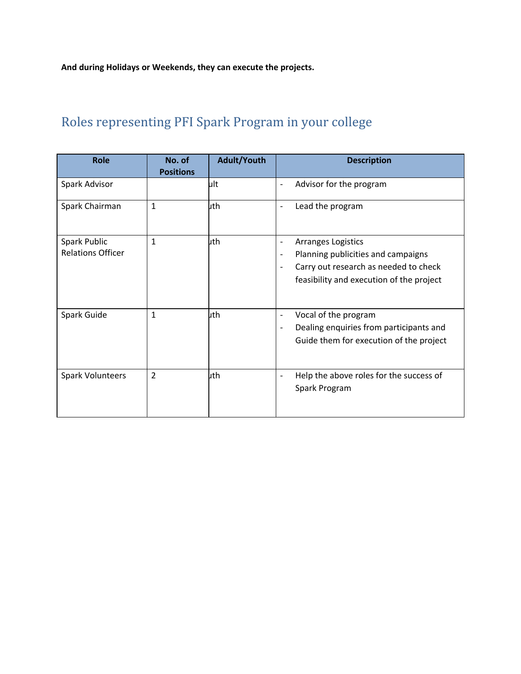**And during Holidays or Weekends, they can execute the projects.**

## Roles representing PFI Spark Program in your college

| <b>Role</b>              | No. of<br><b>Positions</b> | <b>Adult/Youth</b> | <b>Description</b>                                       |
|--------------------------|----------------------------|--------------------|----------------------------------------------------------|
| Spark Advisor            |                            | ult                | Advisor for the program                                  |
| Spark Chairman           | $\mathbf{1}$               | uth                | Lead the program                                         |
| Spark Public             | 1                          | uth                | Arranges Logistics<br>$\qquad \qquad \blacksquare$       |
| <b>Relations Officer</b> |                            |                    | Planning publicities and campaigns<br>$\qquad \qquad -$  |
|                          |                            |                    | Carry out research as needed to check                    |
|                          |                            |                    | feasibility and execution of the project                 |
| Spark Guide              | 1                          | uth                | Vocal of the program<br>$\overline{\phantom{a}}$         |
|                          |                            |                    | Dealing enquiries from participants and                  |
|                          |                            |                    | Guide them for execution of the project                  |
| <b>Spark Volunteers</b>  | $\overline{2}$             | uth                | Help the above roles for the success of<br>Spark Program |